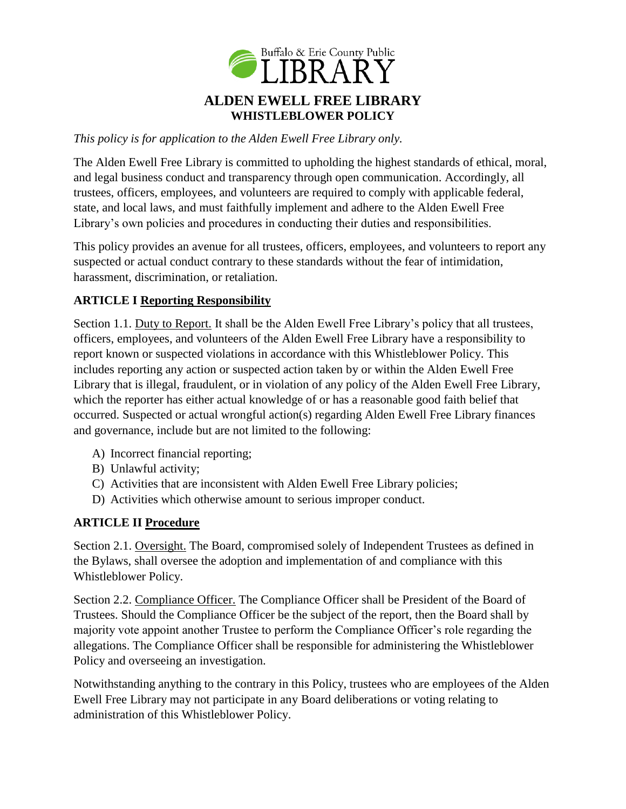

*This policy is for application to the Alden Ewell Free Library only.*

The Alden Ewell Free Library is committed to upholding the highest standards of ethical, moral, and legal business conduct and transparency through open communication. Accordingly, all trustees, officers, employees, and volunteers are required to comply with applicable federal, state, and local laws, and must faithfully implement and adhere to the Alden Ewell Free Library's own policies and procedures in conducting their duties and responsibilities.

This policy provides an avenue for all trustees, officers, employees, and volunteers to report any suspected or actual conduct contrary to these standards without the fear of intimidation, harassment, discrimination, or retaliation.

### **ARTICLE I Reporting Responsibility**

Section 1.1. Duty to Report. It shall be the Alden Ewell Free Library's policy that all trustees, officers, employees, and volunteers of the Alden Ewell Free Library have a responsibility to report known or suspected violations in accordance with this Whistleblower Policy. This includes reporting any action or suspected action taken by or within the Alden Ewell Free Library that is illegal, fraudulent, or in violation of any policy of the Alden Ewell Free Library, which the reporter has either actual knowledge of or has a reasonable good faith belief that occurred. Suspected or actual wrongful action(s) regarding Alden Ewell Free Library finances and governance, include but are not limited to the following:

- A) Incorrect financial reporting;
- B) Unlawful activity;
- C) Activities that are inconsistent with Alden Ewell Free Library policies;
- D) Activities which otherwise amount to serious improper conduct.

### **ARTICLE II Procedure**

Section 2.1. Oversight. The Board, compromised solely of Independent Trustees as defined in the Bylaws, shall oversee the adoption and implementation of and compliance with this Whistleblower Policy.

Section 2.2. Compliance Officer. The Compliance Officer shall be President of the Board of Trustees. Should the Compliance Officer be the subject of the report, then the Board shall by majority vote appoint another Trustee to perform the Compliance Officer's role regarding the allegations. The Compliance Officer shall be responsible for administering the Whistleblower Policy and overseeing an investigation.

Notwithstanding anything to the contrary in this Policy, trustees who are employees of the Alden Ewell Free Library may not participate in any Board deliberations or voting relating to administration of this Whistleblower Policy.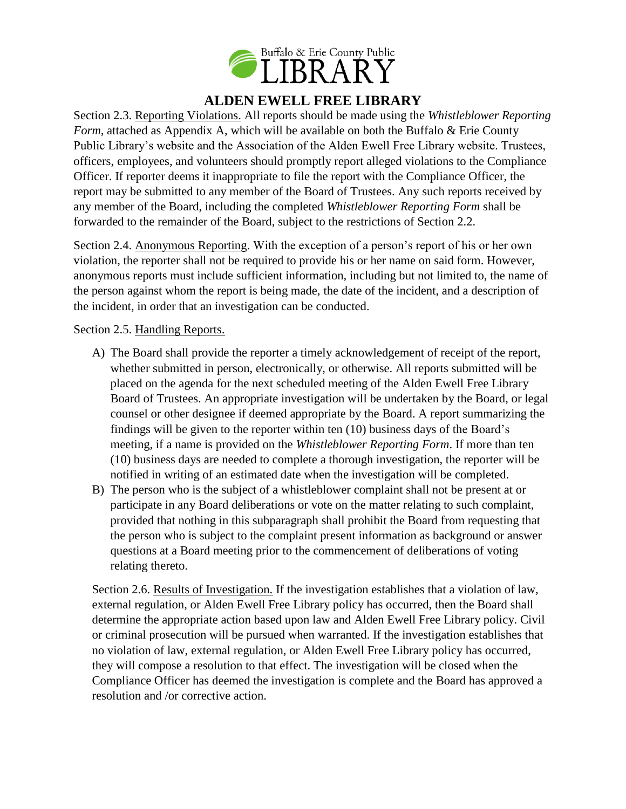

Section 2.3. Reporting Violations. All reports should be made using the *Whistleblower Reporting Form*, attached as Appendix A, which will be available on both the Buffalo & Erie County Public Library's website and the Association of the Alden Ewell Free Library website. Trustees, officers, employees, and volunteers should promptly report alleged violations to the Compliance Officer. If reporter deems it inappropriate to file the report with the Compliance Officer, the report may be submitted to any member of the Board of Trustees. Any such reports received by any member of the Board, including the completed *Whistleblower Reporting Form* shall be forwarded to the remainder of the Board, subject to the restrictions of Section 2.2.

Section 2.4. Anonymous Reporting. With the exception of a person's report of his or her own violation, the reporter shall not be required to provide his or her name on said form. However, anonymous reports must include sufficient information, including but not limited to, the name of the person against whom the report is being made, the date of the incident, and a description of the incident, in order that an investigation can be conducted.

Section 2.5. Handling Reports.

- A) The Board shall provide the reporter a timely acknowledgement of receipt of the report, whether submitted in person, electronically, or otherwise. All reports submitted will be placed on the agenda for the next scheduled meeting of the Alden Ewell Free Library Board of Trustees. An appropriate investigation will be undertaken by the Board, or legal counsel or other designee if deemed appropriate by the Board. A report summarizing the findings will be given to the reporter within ten (10) business days of the Board's meeting, if a name is provided on the *Whistleblower Reporting Form*. If more than ten (10) business days are needed to complete a thorough investigation, the reporter will be notified in writing of an estimated date when the investigation will be completed.
- B) The person who is the subject of a whistleblower complaint shall not be present at or participate in any Board deliberations or vote on the matter relating to such complaint, provided that nothing in this subparagraph shall prohibit the Board from requesting that the person who is subject to the complaint present information as background or answer questions at a Board meeting prior to the commencement of deliberations of voting relating thereto.

Section 2.6. Results of Investigation. If the investigation establishes that a violation of law, external regulation, or Alden Ewell Free Library policy has occurred, then the Board shall determine the appropriate action based upon law and Alden Ewell Free Library policy. Civil or criminal prosecution will be pursued when warranted. If the investigation establishes that no violation of law, external regulation, or Alden Ewell Free Library policy has occurred, they will compose a resolution to that effect. The investigation will be closed when the Compliance Officer has deemed the investigation is complete and the Board has approved a resolution and /or corrective action.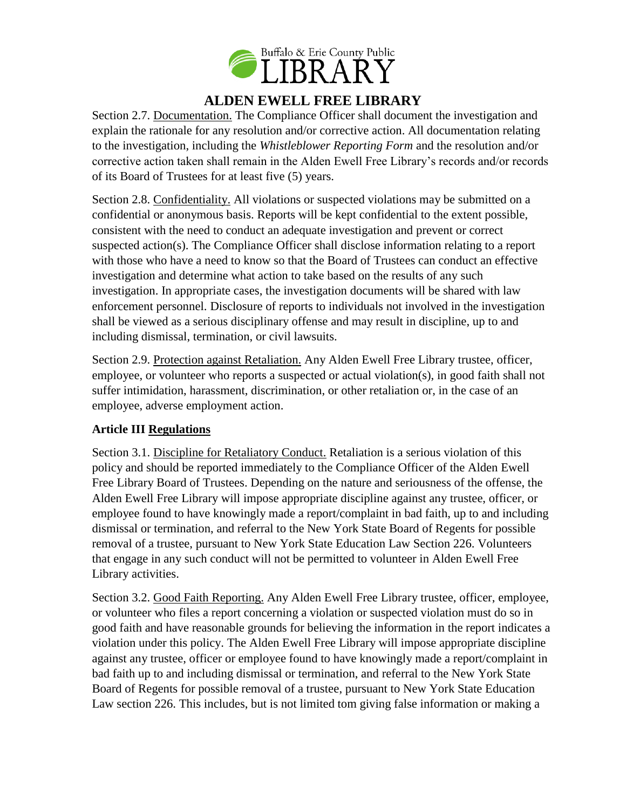

Section 2.7. Documentation. The Compliance Officer shall document the investigation and explain the rationale for any resolution and/or corrective action. All documentation relating to the investigation, including the *Whistleblower Reporting Form* and the resolution and/or corrective action taken shall remain in the Alden Ewell Free Library's records and/or records of its Board of Trustees for at least five (5) years.

Section 2.8. Confidentiality. All violations or suspected violations may be submitted on a confidential or anonymous basis. Reports will be kept confidential to the extent possible, consistent with the need to conduct an adequate investigation and prevent or correct suspected action(s). The Compliance Officer shall disclose information relating to a report with those who have a need to know so that the Board of Trustees can conduct an effective investigation and determine what action to take based on the results of any such investigation. In appropriate cases, the investigation documents will be shared with law enforcement personnel. Disclosure of reports to individuals not involved in the investigation shall be viewed as a serious disciplinary offense and may result in discipline, up to and including dismissal, termination, or civil lawsuits.

Section 2.9. Protection against Retaliation. Any Alden Ewell Free Library trustee, officer, employee, or volunteer who reports a suspected or actual violation(s), in good faith shall not suffer intimidation, harassment, discrimination, or other retaliation or, in the case of an employee, adverse employment action.

## **Article III Regulations**

Section 3.1. Discipline for Retaliatory Conduct. Retaliation is a serious violation of this policy and should be reported immediately to the Compliance Officer of the Alden Ewell Free Library Board of Trustees. Depending on the nature and seriousness of the offense, the Alden Ewell Free Library will impose appropriate discipline against any trustee, officer, or employee found to have knowingly made a report/complaint in bad faith, up to and including dismissal or termination, and referral to the New York State Board of Regents for possible removal of a trustee, pursuant to New York State Education Law Section 226. Volunteers that engage in any such conduct will not be permitted to volunteer in Alden Ewell Free Library activities.

Section 3.2. Good Faith Reporting. Any Alden Ewell Free Library trustee, officer, employee, or volunteer who files a report concerning a violation or suspected violation must do so in good faith and have reasonable grounds for believing the information in the report indicates a violation under this policy. The Alden Ewell Free Library will impose appropriate discipline against any trustee, officer or employee found to have knowingly made a report/complaint in bad faith up to and including dismissal or termination, and referral to the New York State Board of Regents for possible removal of a trustee, pursuant to New York State Education Law section 226. This includes, but is not limited tom giving false information or making a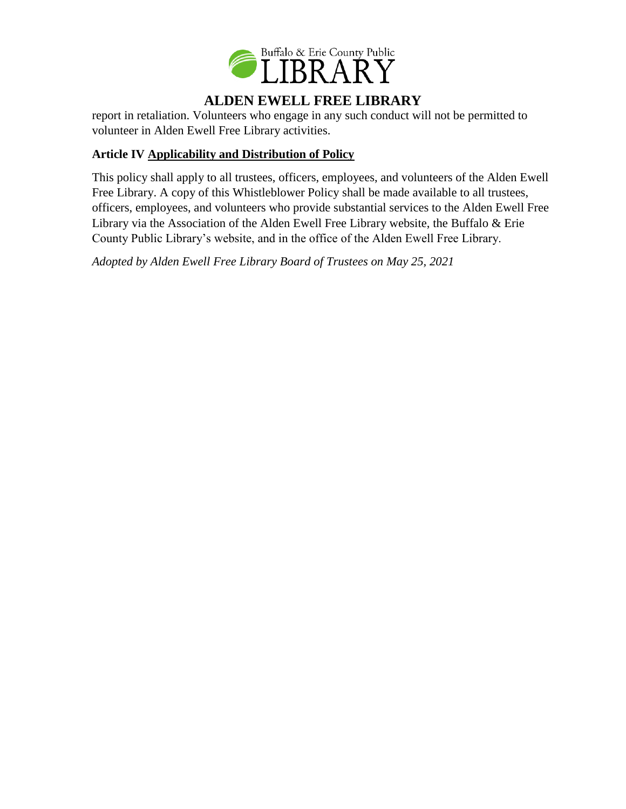

report in retaliation. Volunteers who engage in any such conduct will not be permitted to volunteer in Alden Ewell Free Library activities.

## **Article IV Applicability and Distribution of Policy**

This policy shall apply to all trustees, officers, employees, and volunteers of the Alden Ewell Free Library. A copy of this Whistleblower Policy shall be made available to all trustees, officers, employees, and volunteers who provide substantial services to the Alden Ewell Free Library via the Association of the Alden Ewell Free Library website, the Buffalo & Erie County Public Library's website, and in the office of the Alden Ewell Free Library.

*Adopted by Alden Ewell Free Library Board of Trustees on May 25, 2021*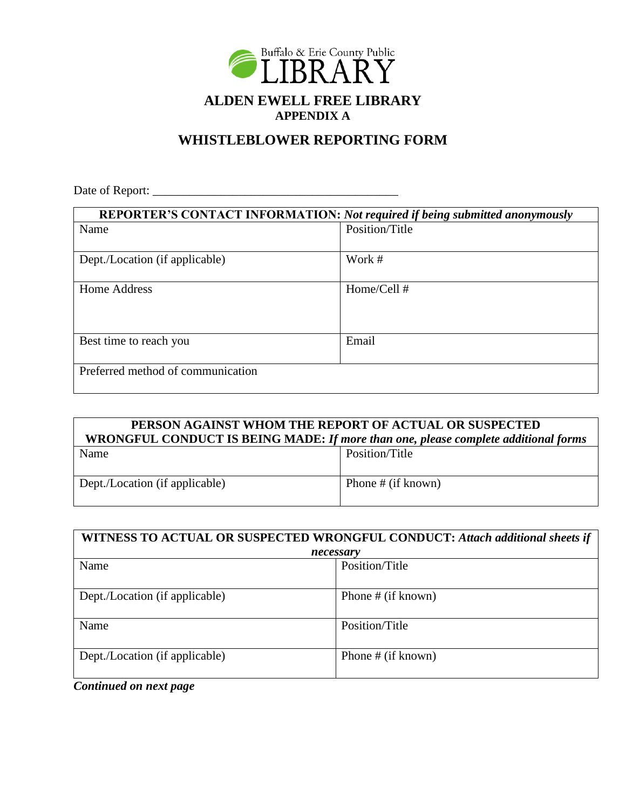

# **WHISTLEBLOWER REPORTING FORM**

Date of Report: \_\_\_\_\_\_\_\_\_\_\_\_\_\_\_\_\_\_\_\_\_\_\_\_\_\_\_\_\_\_\_\_\_\_\_\_\_\_\_\_

| REPORTER'S CONTACT INFORMATION: Not required if being submitted anonymously |                |
|-----------------------------------------------------------------------------|----------------|
| Name                                                                        | Position/Title |
|                                                                             |                |
| Dept./Location (if applicable)                                              | Work #         |
|                                                                             |                |
| <b>Home Address</b>                                                         | Home/Cell #    |
|                                                                             |                |
|                                                                             |                |
| Best time to reach you                                                      | Email          |
|                                                                             |                |
| Preferred method of communication                                           |                |
|                                                                             |                |

| PERSON AGAINST WHOM THE REPORT OF ACTUAL OR SUSPECTED<br>WRONGFUL CONDUCT IS BEING MADE: If more than one, please complete additional forms |                      |  |
|---------------------------------------------------------------------------------------------------------------------------------------------|----------------------|--|
| Name                                                                                                                                        | Position/Title       |  |
| Dept./Location (if applicable)                                                                                                              | Phone # $(if known)$ |  |

| WITNESS TO ACTUAL OR SUSPECTED WRONGFUL CONDUCT: Attach additional sheets if |                    |
|------------------------------------------------------------------------------|--------------------|
| necessary                                                                    |                    |
| Name                                                                         | Position/Title     |
| Dept./Location (if applicable)                                               | Phone # (if known) |
| Name                                                                         | Position/Title     |
| Dept./Location (if applicable)                                               | Phone # (if known) |

*Continued on next page*